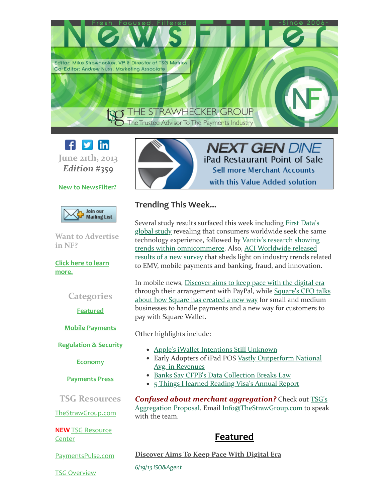

June 21th, 2013 *Edition #359*

# New to NewsFilter?



Want to Advertise in NF?

Click here to learn [more.](http://www.thestrawgroup.com/newsfilter/newsfilter-advertising-opportunities?utm_source=NewsFilter+359+6%2F21%2F13&utm_campaign=NF+%23359+6%2F21%2F13&utm_medium=archive)

# **Categories**

[Featured](#page-0-0)

Mobile [Payments](#page-2-0)

[Regulation](#page-3-0) & Security

[Economy](#page-4-0)

[Payments](#page-5-0) Press

TSG Resources

[TheStrawGroup.com](http://www.thestrawgroup.com/?utm_source=NewsFilter+359+6%2F21%2F13&utm_campaign=NF+%23359+6%2F21%2F13&utm_medium=archive)

NEW TSG [Resource](http://www.thestrawgroup.com/resource-center?utm_source=NewsFilter+359+6%2F21%2F13&utm_campaign=NF+%23359+6%2F21%2F13&utm_medium=archive) **Center** 

[PaymentsPulse.com](http://paymentspulse.com/?utm_source=NewsFilter+359+6%2F21%2F13&utm_campaign=NF+%23359+6%2F21%2F13&utm_medium=archive)

TSG [Overview](http://library.constantcontact.com/doc201/1111273965379/doc/cbFgWoIzdhDkDwod.pdf)



# **Sell more Merchant Accounts** with this Value Added solution

# Trending This Week...

[Several study](#page-1-0) results surfaced this week including First Data's global study revealing that consumers worldwide seek the same technology experience, followed by Vantiv's research showing trends within [omnicommerce.](#page-1-1) Also, ACI Worldwide released results of a new survey that sheds light on industry trends related to EMV, mobile payments and banking, fraud, and innovation.

In mobile news, Discover aims to keep pace with the [digital era](#page-0-1) through their [arrangement](#page-1-2) with PayPal, while Square's CFO talks about how Square has created a new way for small and medium businesses to handle payments and a new way for customers to pay with Square Wallet.

Other highlights include:

- Apple's iWallet Intentions [Still Unknown](#page-1-3)
- Early Adopters of iPad POS Vastly [Outperform](#page-2-1) National Avg. in Revenues
- Banks Say CFPB's Data [Collection](#page-3-1) Breaks Law
- 5 Things I learned Reading Visa's [Annual Report](#page-5-2)

*[Confused about merchant aggregation?](http://library.constantcontact.com/doc201/1111273965379/doc/DMX9exECmEI4B3Dw.pdf)* Check out TSG's Aggregation Proposal. Email [Info@TheStrawGroup.com](mailto:Info@TheStrawGroup.com?subject=Aggregation%20Inquiry) to speak with the team.

# <span id="page-0-1"></span><span id="page-0-0"></span>Featured

[Discover](http://www.isoandagent.com/news/Discover-Aims-To-Keep-Pace-With-Digital-Era-3014478-1.html?utm_source=NewsFilter+359+6%2F21%2F13&utm_campaign=NF+%23359+6%2F21%2F13&utm_medium=archive) Aims To Keep Pace With Digital Era

6/19/13 ISO&Agent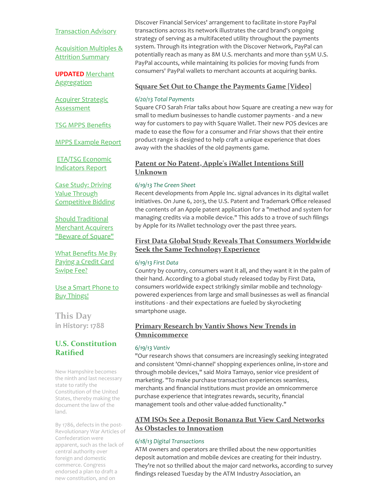#### [Transaction](http://library.constantcontact.com/doc201/1111273965379/doc/39oT4lea5y1ZsXg2.pdf) Advisory

[Acquisition](http://library.constantcontact.com/doc201/1111273965379/doc/nYvgkVVich2Xk1UR.pdf) Multiples & **Attrition Summary** 

UPDATED Merchant **[Aggregation](http://library.constantcontact.com/doc201/1111273965379/doc/DMX9exECmEI4B3Dw.pdf)** 

Acquirer Strategic **[Assessment](http://paymentspulse.com/wp-content/uploads/2012/10/TSG-Acquirer-Strategic-Assessment.pdf?utm_source=NewsFilter+359+6%2F21%2F13&utm_campaign=NF+%23359+6%2F21%2F13&utm_medium=archive)** 

TSG MPPS [Benefits](http://library.constantcontact.com/doc201/1111273965379/doc/te36KxDnsvTxflIR.pdf)

MPPS [Example](http://paymentspulse.com/wp-content/uploads/2013/03/MPPS-Portfolio-Example-Report-March-2013.pdf?utm_source=NewsFilter+359+6%2F21%2F13&utm_campaign=NF+%23359+6%2F21%2F13&utm_medium=archive) Report

ETA/TSG Economic [Indicators](http://library.constantcontact.com/doc201/1111273965379/doc/KDI0Z69kdvINL99v.pdf) Report

Case Study: Driving Value Through [Competitive](http://paymentspulse.com/wp-content/uploads/2012/11/TSG-Case-Study-Driving-Value-Through-Competitive-Bidding.pdf?utm_source=NewsFilter+359+6%2F21%2F13&utm_campaign=NF+%23359+6%2F21%2F13&utm_medium=archive) Bidding

Should [Traditional](http://paymentspulse.com/wp-content/uploads/2012/11/TSG-Square-Infographic.pdf?utm_source=NewsFilter+359+6%2F21%2F13&utm_campaign=NF+%23359+6%2F21%2F13&utm_medium=archive) Merchant Acquirers "Beware of Square"

What [Benefits](http://library.constantcontact.com/doc201/1111273965379/doc/uMeec6N61qZeP8au.pdf) Me By Paying a Credit Card Swipe Fee?

Use a Smart Phone to Buy [Things!](http://library.constantcontact.com/doc201/1111273965379/doc/skj91IBKrHdZZurB.pdf)

This Day in History: 1788

# U.S. Constitution **Ratified**

New Hampshire becomes the ninth and last necessary state to ratify the Constitution of the United States, thereby making the document the law of the land.

By 1786, defects in the post-Revolutionary War Articles of Confederation were apparent, such as the lack of central authority over foreign and domestic commerce. Congress endorsed a plan to draft a new constitution, and on

Discover Financial Services' arrangement to facilitate in-store PayPal transactions across its network illustrates the card brand's ongoing strategy of serving as a multifaceted utility throughout the payments system. Through its integration with the Discover Network, PayPal can potentially reach as many as 8M U.S. merchants and more than 55M U.S. PayPal accounts, while maintaining its policies for moving funds from consumers' PayPal wallets to merchant accounts at acquiring banks.

# <span id="page-1-2"></span>Square Set Out to Change the [Payments](http://blogs.terrapinn.com/total-payments/?p=3917?pk_campaign=Blog_Newsletter_Total%20Payments&pk_kwd=2013-06-20&elq=36cf2c70755e4e3e8457d3e6bd34662e&elqCampaignId=4492&utm_source=NewsFilter+359+6%2F21%2F13&utm_campaign=NF+%23359+6%2F21%2F13&utm_medium=archive) Game [Video]

#### 6/20/13 Total Payments

Square CFO Sarah Friar talks about how Square are creating a new way for small to medium businesses to handle customer payments - and a new way for customers to pay with Square Wallet. Their new POS devices are made to ease the flow for a consumer and Friar shows that their entire product range is designed to help craft a unique experience that does away with the shackles of the old payments game.

# <span id="page-1-3"></span>Patent or No Patent, Apple's iWallet [Intentions](http://www.greensheet.com/breakingnews.php?flag=breaking_news&utm_source=NewsFilter+359+6%2F21%2F13&utm_campaign=NF+%23359+6%2F21%2F13&utm_medium=archive) Still Unknown

#### 6/19/13 The Green Sheet

Recent developments from Apple Inc. signal advances in its digital wallet initiatives. On June 6, 2013, the U.S. Patent and Trademark Office released the contents of an Apple patent application for a "method and system for managing credits via a mobile device." This adds to a trove of such filings by Apple for its iWallet technology over the past three years.

# First Data Global Study Reveals That Consumers Worldwide Seek the Same [Technology](http://www.firstdata.com/en_us/about-first-data/media/press-releases/06_19_13.html?utm_source=NewsFilter+359+6%2F21%2F13&utm_campaign=NF+%23359+6%2F21%2F13&utm_medium=archive) Experience

#### <span id="page-1-0"></span>6/19/13 First Data

Country by country, consumers want it all, and they want it in the palm of their hand. According to a global study released today by First Data, consumers worldwide expect strikingly similar mobile and technologypowered experiences from large and small businesses as well as financial institutions - and their expectations are fueled by skyrocketing smartphone usage.

# <span id="page-1-1"></span>Primary Research by Vantiv Shows New Trends in **[Omnicommerce](http://investors.vantiv.com/phoenix.zhtml?c=250843&p=irol-newsArticle&ID=1831230&highlight=&utm_source=NewsFilter+359+6%2F21%2F13&utm_campaign=NF+%23359+6%2F21%2F13&utm_medium=archive)**

#### 6/19/13 Vantiv

"Our research shows that consumers are increasingly seeking integrated and consistent 'Omni-channel' shopping experiences online, in-store and through mobile devices," said Moira Tamayo, senior vice president of marketing. "To make purchase transaction experiences seamless, merchants and financial institutions must provide an omnicommerce purchase experience that integrates rewards, security, financial management tools and other value-added functionality."

# ATM ISOs See a Deposit Bonanza But View Card Networks As Obstacles to [Innovation](http://digitaltransactions.net/news/story/4139?utm_source=NewsFilter+359+6%2F21%2F13&utm_campaign=NF+%23359+6%2F21%2F13&utm_medium=archive)

#### 6/18/13 Digital Transactions

ATM owners and operators are thrilled about the new opportunities deposit automation and mobile devices are creating for their industry. They're not so thrilled about the major card networks, according to survey findings released Tuesday by the ATM Industry Association, an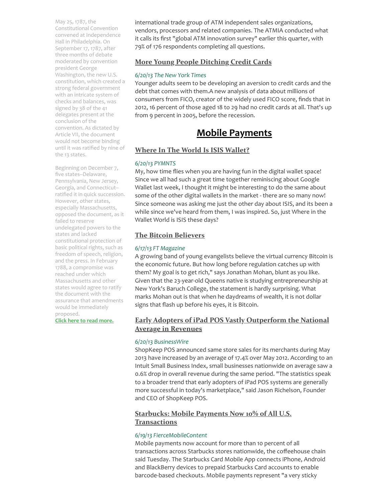May 25, 1787, the Constitutional Convention convened at Independence Hall in Philadelphia. On September 17, 1787, after three months of debate moderated by convention president George Washington, the new U.S. constitution, which created a strong federal government with an intricate system of checks and balances, was signed by 38 of the 41 delegates present at the conclusion of the convention. As dictated by Article VII, the document would not become binding until it was ratified by nine of the 13 states.

Beginning on December 7, five states--Delaware, Pennsylvania, New Jersey, Georgia, and Connecticut- ratified it in quick succession. However, other states, especially Massachusetts, opposed the document, as it failed to reserve undelegated powers to the states and lacked constitutional protection of basic political rights, such as freedom of speech, religion, and the press. In February 1788, a compromise was reached under which Massachusetts and other states would agree to ratify the document with the assurance that amendments would be immediately proposed.

[Click here to read more.](http://www.history.com/this-day-in-history/us-constitution-ratified?utm_source=NewsFilter+359+6%2F21%2F13&utm_campaign=NF+%23359+6%2F21%2F13&utm_medium=archive)

international trade group of ATM independent sales organizations, vendors, processors and related companies. The ATMIA conducted what it calls its first "global ATM innovation survey" earlier this quarter, with 79% of 176 respondents completing all questions.

# More Young People [Ditching](http://bucks.blogs.nytimes.com/2013/06/20/more-young-people-ditching-credit-cards/?_r=0&utm_source=NewsFilter+359+6%2F21%2F13&utm_campaign=NF+%23359+6%2F21%2F13&utm_medium=archive) Credit Cards

#### 6/20/13 The New York Times

Younger adults seem to be developing an aversion to credit cards and the debt that comes with them.A new analysis of data about millions of consumers from FICO, creator of the widely used FICO score, finds that in 2012, 16 percent of those aged 18 to 29 had no credit cards at all. That's up from 9 percent in 2005, before the recession.

# <span id="page-2-0"></span>Mobile Payments

# Where In The World Is ISIS [Wallet?](http://www.pymnts.com/commentary/where-in-the-world-is-isis-wallet/?utm_source=NewsFilter+359+6%2F21%2F13&utm_campaign=NF+%23359+6%2F21%2F13&utm_medium=archive)

# 6/20/13 PYMNTS

My, how time flies when you are having fun in the digital wallet space! Since we all had such a great time together reminiscing about Google Wallet last week, I thought it might be interesting to do the same about some of the other digital wallets in the market - there are so many now! Since someone was asking me just the other day about ISIS, and its been a while since we've heard from them, I was inspired. So, just Where in the Wallet World is ISIS these days?

# The Bitcoin [Believers](http://www.ft.com/intl/cms/s/2/910858fa-d3bf-11e2-95d4-00144feab7de.html#slide0?utm_source=NewsFilter+359+6%2F21%2F13&utm_campaign=NF+%23359+6%2F21%2F13&utm_medium=archive)

### 6/17/13 FT Magazine

A growing band of young evangelists believe the virtual currency Bitcoin is the economic future. But how long before regulation catches up with them? My goal is to get rich," says Jonathan Mohan, blunt as you like. Given that the 23-year-old Queens native is studying entrepreneurship at New York's Baruch College, the statement is hardly surprising. What marks Mohan out is that when he daydreams of wealth, it is not dollar signs that flash up before his eyes, it is Bitcoin.

# <span id="page-2-1"></span>Early Adopters of iPad POS Vastly [Outperform](http://www.businesswire.com/news/home/20130620005353/en/Early-Adopters-iPad-POS-Vastly-Outperform-National?utm_source=NewsFilter+359+6%2F21%2F13&utm_campaign=NF+%23359+6%2F21%2F13&utm_medium=archive) the National Average in Revenues

# 6/20/13 BusinessWire

ShopKeep POS announced same store sales for its merchants during May 2013 have increased by an average of 17.4% over May 2012. According to an Intuit Small Business Index, small businesses nationwide on average saw a 0.6% drop in overall revenue during the same period. "The statistics speak to a broader trend that early adopters of iPad POS systems are generally more successful in today's marketplace," said Jason Richelson, Founder and CEO of ShopKeep POS.

# Starbucks: Mobile Payments Now 10% of All U.S. **[Transactions](http://www.fiercemobilecontent.com/story/starbucks-mobile-payments-now-10-all-us-transactions/2013-06-19?utm_source=NewsFilter+359+6%2F21%2F13&utm_campaign=NF+%23359+6%2F21%2F13&utm_medium=archive)**

# 6/19/13 FierceMobileContent

Mobile payments now account for more than 10 percent of all transactions across Starbucks stores nationwide, the coffeehouse chain said Tuesday. The Starbucks Card Mobile App connects iPhone, Android and BlackBerry devices to prepaid Starbucks Card accounts to enable barcode-based checkouts. Mobile payments represent "a very sticky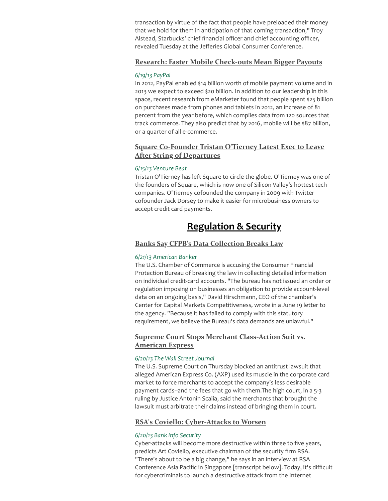transaction by virtue of the fact that people have preloaded their money that we hold for them in anticipation of that coming transaction," Troy Alstead, Starbucks' chief financial officer and chief accounting officer, revealed Tuesday at the Jefferies Global Consumer Conference.

#### Research: Faster Mobile [Check-outs](https://www.paypal-forward.com/mobile/research-faster-mobile-check-outs-mean-bigger-payouts/?utm_source=NewsFilter+359+6%2F21%2F13&utm_campaign=NF+%23359+6%2F21%2F13&utm_medium=archive) Mean Bigger Payouts

#### 6/19/13 PayPal

In 2012, PayPal enabled \$14 billion worth of mobile payment volume and in 2013 we expect to exceed \$20 billion. In addition to our leadership in this space, recent research from eMarketer found that people spent \$25 billion on purchases made from phones and tablets in 2012, an increase of 81 percent from the year before, which compiles data from 120 sources that track commerce. They also predict that by 2016, mobile will be \$87 billion, or a quarter of all e-commerce.

# Square Co-Founder Tristan O'Tierney Latest Exec to Leave After String [of Departures](http://venturebeat.com/2013/06/15/square-cofounder-tristan-otierney-latest-exec-to-leave-after-string-of-departures/?utm_source=NewsFilter+359+6%2F21%2F13&utm_campaign=NF+%23359+6%2F21%2F13&utm_medium=archive)

#### 6/15/13 Venture Beat

Tristan O'Tierney has left Square to circle the globe. O'Tierney was one of the founders of Square, which is now one of Silicon Valley's hottest tech companies. O'Tierney cofounded the company in 2009 with Twitter cofounder Jack Dorsey to make it easier for microbusiness owners to accept credit card payments.

# <span id="page-3-1"></span><span id="page-3-0"></span>Regulation & Security

### Banks Say CFPB's Data [Collection](http://www.americanbanker.com/syndication/banks-charge-consumer-bureau-big-data-collection-breaks-law-1060046-1.html?utm_source=NewsFilter+359+6%2F21%2F13&utm_campaign=NF+%23359+6%2F21%2F13&utm_medium=archive) Breaks Law

#### 6/21/13 American Banker

The U.S. Chamber of Commerce is accusing the Consumer Financial Protection Bureau of breaking the law in collecting detailed information on individual credit-card accounts. "The bureau has not issued an order or regulation imposing on businesses an obligation to provide account-level data on an ongoing basis," David Hirschmann, CEO of the chamber's Center for Capital Markets Competitiveness, wrote in a June 19 letter to the agency. "Because it has failed to comply with this statutory requirement, we believe the Bureau's data demands are unlawful."

### Supreme Court Stops Merchant [Class-Action](http://online.wsj.com/article/BT-CO-20130620-707212.html?mod=mktw&source=email_rt_mc_body&utm_source=NewsFilter+359+6%2F21%2F13&utm_campaign=NF+%23359+6%2F21%2F13&utm_medium=archive) Suit vs. American Express

#### 6/20/13 The Wall Street Journal

The U.S. Supreme Court on Thursday blocked an antitrust lawsuit that alleged American Express Co. (AXP) used its muscle in the corporate card market to force merchants to accept the company's less desirable payment cards--and the fees that go with them.The high court, in a 5-3 ruling by Justice Antonin Scalia, said the merchants that brought the lawsuit must arbitrate their claims instead of bringing them in court.

#### RSA's Coviello: [Cyber-Attacks](http://www.bankinfosecurity.com/rsas-coviello-cyber-attacks-to-worsen-a-5850?utm_source=NewsFilter+359+6%2F21%2F13&utm_campaign=NF+%23359+6%2F21%2F13&utm_medium=archive) to Worsen

#### 6/20/13 Bank Info Security

Cyber-attacks will become more destructive within three to five years, predicts Art Coviello, executive chairman of the security firm RSA. "There's about to be a big change," he says in an interview at RSA Conference Asia Pacific in Singapore [transcript below]. Today, it's difficult for cybercriminals to launch a destructive attack from the Internet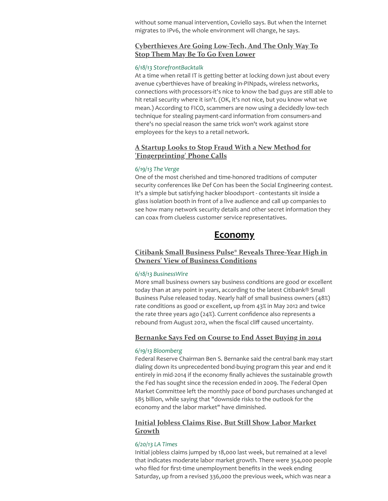without some manual intervention, Coviello says. But when the Internet migrates to IPv6, the whole environment will change, he says.

# [Cyberthieves](http://storefrontbacktalk.com/securityfraud/cyberthieves-are-going-low-tech-and-the-only-way-to-stop-them-may-be-to-go-even-lower/?utm_source=NewsFilter+359+6%2F21%2F13&utm_campaign=NF+%23359+6%2F21%2F13&utm_medium=archive) Are Going Low-Tech, And The Only Way To Stop Them May Be To Go Even Lower

#### 6/18/13 StorefrontBacktalk

At a time when retail IT is getting better at locking down just about every avenue cyberthieves have of breaking in-PINpads, wireless networks, connections with processors-it's nice to know the bad guys are still able to hit retail security where it isn't. (OK, it's not nice, but you know what we mean.) According to FICO, scammers are now using a decidedly low-tech technique for stealing payment-card information from consumers-and there's no special reason the same trick won't work against store employees for the keys to a retail network.

# A Startup Looks to Stop Fraud With a New Method for ['Fingerprinting'](http://www.theverge.com/2013/6/19/4443588/pindrop-acoustic-analysis-fights-phone-fraud-social-engineering?utm_source=NewsFilter+359+6%2F21%2F13&utm_campaign=NF+%23359+6%2F21%2F13&utm_medium=archive) Phone Calls

#### 6/19/13 The Verge

One of the most cherished and time-honored traditions of computer security conferences like Def Con has been the Social Engineering contest. It's a simple but satisfying hacker bloodsport - contestants sit inside a glass isolation booth in front of a live audience and call up companies to see how many network security details and other secret information they can coax from clueless customer service representatives.

# <span id="page-4-0"></span>Economy

# Citibank Small Business Pulse® Reveals Three-Year High in Owners' View [of Business](http://www.businesswire.com/news/home/20130618005286/en/Citibank-Small-Business-Pulse%C2%AE-Reveals-Three-Year-High?utm_source=NewsFilter+359+6%2F21%2F13&utm_campaign=NF+%23359+6%2F21%2F13&utm_medium=archive) Conditions

#### 6/18/13 BusinessWire

More small business owners say business conditions are good or excellent today than at any point in years, according to the latest Citibank® Small Business Pulse released today. Nearly half of small business owners (48%) rate conditions as good or excellent, up from 43% in May 2012 and twice the rate three years ago (24%). Current confidence also represents a rebound from August 2012, when the fiscal cliff caused uncertainty.

#### [Bernanke](http://www.bloomberg.com/news/2013-06-19/fed-keeps-85-billion-pace-of-bond-buying-sees-risks-waning.html?utm_source=NewsFilter+359+6%2F21%2F13&utm_campaign=NF+%23359+6%2F21%2F13&utm_medium=archive) Says Fed on Course to End Asset Buying in 2014

#### 6/19/13 Bloomberg

Federal Reserve Chairman Ben S. Bernanke said the central bank may start dialing down its unprecedented bond-buying program this year and end it entirely in mid-2014 if the economy finally achieves the sustainable growth the Fed has sought since the recession ended in 2009. The Federal Open Market Committee left the monthly pace of bond purchases unchanged at \$85 billion, while saying that "downside risks to the outlook for the economy and the labor market" have diminished.

# Initial Jobless Claims Rise, But Still Show Labor Market [Growth](http://www.latimes.com/business/money/la-fi-mo-weekly-jobless-claims-unemployment-economy-20130620,0,4932031.story?utm_source=NewsFilter+359+6%2F21%2F13&utm_campaign=NF+%23359+6%2F21%2F13&utm_medium=archive)

#### 6/20/13 LA Times

Initial jobless claims jumped by 18,000 last week, but remained at a level that indicates moderate labor market growth. There were 354,000 people who filed for first-time unemployment benefits in the week ending Saturday, up from a revised 336,000 the previous week, which was near a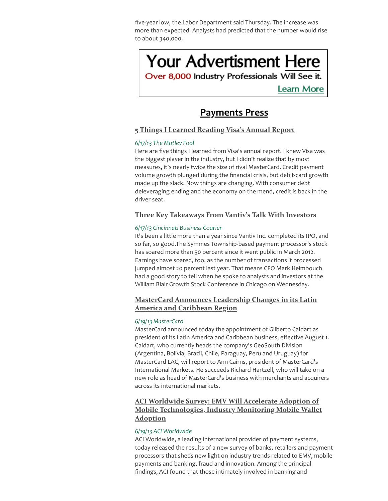five-year low, the Labor Department said Thursday. The increase was more than expected. Analysts had predicted that the number would rise to about 340,000.

# **Your Advertisment Here**

Over 8,000 Industry Professionals Will See it.

<span id="page-5-2"></span>**Learn More** 

# <span id="page-5-0"></span>Payments Press

# 5 Things [I Learned](http://www.fool.com/investing/general/2013/06/17/5-things-i-learned-reading-visas-annual-report.aspx?utm_source=NewsFilter+359+6%2F21%2F13&utm_campaign=NF+%23359+6%2F21%2F13&utm_medium=archive) Reading Visa's Annual Report

# 6/17/13 The Motley Fool

Here are five things I learned from Visa's annual report. I knew Visa was the biggest player in the industry, but I didn't realize that by most measures, it's nearly twice the size of rival MasterCard. Credit payment volume growth plunged during the financial crisis, but debit-card growth made up the slack. Now things are changing. With consumer debt deleveraging ending and the economy on the mend, credit is back in the driver seat.

# Three Key Takeaways [From Vantiv's](http://www.bizjournals.com/cincinnati/blog/2013/06/three-key-takeaways-from-vantivs-talk.html?page=all&utm_source=NewsFilter+359+6%2F21%2F13&utm_campaign=NF+%23359+6%2F21%2F13&utm_medium=archive) Talk With Investors

# 6/17/13 Cincinnati Business Courier

It's been a little more than a year since Vantiv Inc. completed its IPO, and so far, so good.The Symmes Township-based payment processor's stock has soared more than 50 percent since it went public in March 2012. Earnings have soared, too, as the number of transactions it processed jumped almost 20 percent last year. That means CFO Mark Heimbouch had a good story to tell when he spoke to analysts and investors at the William Blair Growth Stock Conference in Chicago on Wednesday.

# [MasterCard](http://newsroom.mastercard.com/press-releases/mastercard-announces-leadership-changes-in-its-latin-america-and-caribbean-region/?utm_source=NewsFilter+359+6%2F21%2F13&utm_campaign=NF+%23359+6%2F21%2F13&utm_medium=archive) Announces Leadership Changes in its Latin America and Caribbean Region

# 6/19/13 MasterCard

MasterCard announced today the appointment of Gilberto Caldart as president of its Latin America and Caribbean business, effective August 1. Caldart, who currently heads the company's GeoSouth Division (Argentina, Bolivia, Brazil, Chile, Paraguay, Peru and Uruguay) for MasterCard LAC, will report to Ann Cairns, president of MasterCard's International Markets. He succeeds Richard Hartzell, who will take on a new role as head of MasterCard's business with merchants and acquirers across its international markets.

# [ACI Worldwide](http://www.aciworldwide.com/en/News-and-events/Press-releases/ACI-Worldwide-Survey-EMV-Will-Accelerate-Adoption-of-Mobile-Technologies.aspx?utm_source=NewsFilter+359+6%2F21%2F13&utm_campaign=NF+%23359+6%2F21%2F13&utm_medium=archive) Survey: EMV Will Accelerate Adoption of Mobile Technologies, Industry Monitoring Mobile Wallet Adoption

# <span id="page-5-1"></span>6/19/13 ACI Worldwide

ACI Worldwide, a leading international provider of payment systems, today released the results of a new survey of banks, retailers and payment processors that sheds new light on industry trends related to EMV, mobile payments and banking, fraud and innovation. Among the principal findings, ACI found that those intimately involved in banking and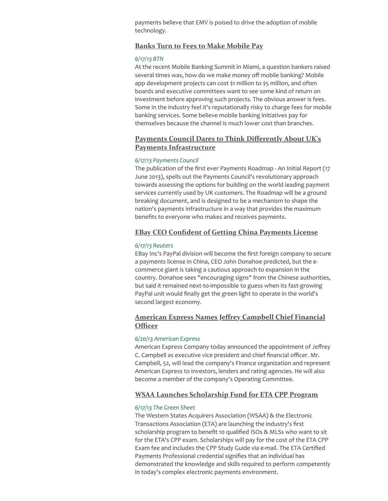payments believe that EMV is poised to drive the adoption of mobile technology.

#### Banks Turn to Fees to Make [Mobile](http://www.americanbanker.com/issues/178_116/banks-turn-to-fees-to-make-mobile-pay-1059911-1.html?utm_source=NewsFilter+359+6%2F21%2F13&utm_campaign=NF+%23359+6%2F21%2F13&utm_medium=archive) Pay

#### 6/17/13 BTN

At the recent Mobile Banking Summit in Miami, a question bankers raised several times was, how do we make money off mobile banking? Mobile app development projects can cost \$1 million to \$5 million, and often boards and executive committees want to see some kind of return on investment before approving such projects. The obvious answer is fees. Some in the industry feel it's reputationally risky to charge fees for mobile banking services. Some believe mobile banking initiatives pay for themselves because the channel is much lower cost than branches.

# Payments Council Dares to Think Differently About UK's Payments [Infrastructure](http://www.paymentscouncil.org.uk/media_centre/press_releases/-/page/2580/?utm_source=NewsFilter+359+6%2F21%2F13&utm_campaign=NF+%23359+6%2F21%2F13&utm_medium=archive)

#### 6/17/13 Payments Council

The publication of the first ever Payments Roadmap - An Initial Report (17 June 2013), spells out the Payments Council's revolutionary approach towards assessing the options for building on the world leading payment services currently used by UK customers. The Roadmap will be a ground breaking document, and is designed to be a mechanism to shape the nation's payments infrastructure in a way that provides the maximum benefits to everyone who makes and receives payments.

#### EBay CEO Confident [of Getting](http://www.reuters.com/article/2013/06/18/us-summit-ebay-idUSBRE95G11B20130618?utm_source=NewsFilter+359+6%2F21%2F13&utm_campaign=NF+%23359+6%2F21%2F13&utm_medium=archive) China Payments License

#### 6/17/13 Reuters

EBay Inc's PayPal division will become the first foreign company to secure a payments license in China, CEO John Donahoe predicted, but the ecommerce giant is taking a cautious approach to expansion in the country. Donahoe sees "encouraging signs" from the Chinese authorities, but said it remained next-to-impossible to guess when its fast-growing PayPal unit would finally get the green light to operate in the world's second largest economy.

# American Express Names Jeffrey Campbell [Chief Financial](http://about.americanexpress.com/news/pr/2013/amex-names-campbell-cfo.aspx?utm_source=NewsFilter+359+6%2F21%2F13&utm_campaign=NF+%23359+6%2F21%2F13&utm_medium=archive) **Officer**

#### 6/20/13 American Express

American Express Company today announced the appointment of Jeffrey C. Campbell as executive vice president and chief financial officer. Mr. Campbell, 52, will lead the company's Finance organization and represent American Express to investors, lenders and rating agencies. He will also become a member of the company's Operating Committee.

# WSAA Launches [Scholarship](http://www.greensheet.com/newswire.php?flag=display_story&id=32220&utm_source=NewsFilter+359+6%2F21%2F13&utm_campaign=NF+%23359+6%2F21%2F13&utm_medium=archive) Fund for ETA CPP Program

#### 6/17/13 The Green Sheet

The Western States Acquirers Association (WSAA) & the Electronic Transactions Association (ETA) are launching the industry's first scholarship program to benefit 10 qualified ISOs & MLSs who want to sit for the ETA's CPP exam. Scholarships will pay for the cost of the ETA CPP Exam fee and includes the CPP Study Guide via e-mail. The ETA Certified Payments Professional credential signifies that an individual has demonstrated the knowledge and skills required to perform competently in today's complex electronic payments environment.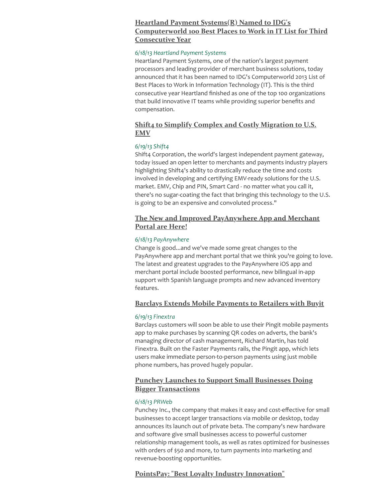# Heartland Payment Systems(R) Named to IDG's [Computerworld](http://www.snl.com/irweblinkx/file.aspx?IID=4094417&FID=17559757&utm_source=NewsFilter+359+6%2F21%2F13&utm_campaign=NF+%23359+6%2F21%2F13&utm_medium=archive) 100 Best Places to Work in IT List for Third Consecutive Year

#### 6/18/13 Heartland Payment Systems

Heartland Payment Systems, one of the nation's largest payment processors and leading provider of merchant business solutions, today announced that it has been named to IDG's Computerworld 2013 List of Best Places to Work in Information Technology (IT). This is the third consecutive year Heartland finished as one of the top 100 organizations that build innovative IT teams while providing superior benefits and compensation.

# Shift4 to Simplify Complex and Costly [Migration](http://www.shift4.com/company/newsroom/content/pr_20130619_EMV.cfm?utm_source=NewsFilter+359+6%2F21%2F13&utm_campaign=NF+%23359+6%2F21%2F13&utm_medium=archive) to U.S. EMV

#### 6/19/13 Shift4

Shift4 Corporation, the world's largest independent payment gateway, today issued an open letter to merchants and payments industry players highlighting Shift4's ability to drastically reduce the time and costs involved in developing and certifying EMV-ready solutions for the U.S. market. EMV, Chip and PIN, Smart Card - no matter what you call it, there's no sugar-coating the fact that bringing this technology to the U.S. is going to be an expensive and convoluted process."

# The New and Improved [PayAnywhere](http://www.payanywhere.com/blog/new-and-improved-payanywhere-app-merchant-portal-are-here/?utm_source=NewsFilter+359+6%2F21%2F13&utm_campaign=NF+%23359+6%2F21%2F13&utm_medium=archive) App and Merchant Portal are Here!

#### 6/18/13 PayAnywhere

Change is good...and we've made some great changes to the PayAnywhere app and merchant portal that we think you're going to love. The latest and greatest upgrades to the PayAnywhere iOS app and merchant portal include boosted performance, new bilingual in-app support with Spanish language prompts and new advanced inventory features.

# Barclays Extends Mobile [Payments](http://www.finextra.com/News/FullStory.aspx?newsitemid=24936&utm_source=NewsFilter+359+6%2F21%2F13&utm_campaign=NF+%23359+6%2F21%2F13&utm_medium=archive) to Retailers with Buyit

# 6/19/13 Finextra

Barclays customers will soon be able to use their Pingit mobile payments app to make purchases by scanning QR codes on adverts, the bank's managing director of cash management, Richard Martin, has told Finextra. Built on the Faster Payments rails, the Pingit app, which lets users make immediate person-to-person payments using just mobile phone numbers, has proved hugely popular.

# Punchey Launches to Support Small Businesses Doing Bigger [Transactions](http://www.prweb.com/releases/2013/6/prweb10843436.htm?utm_source=NewsFilter+359+6%2F21%2F13&utm_campaign=NF+%23359+6%2F21%2F13&utm_medium=archive)

#### 6/18/13 PRWeb

Punchey Inc., the company that makes it easy and cost-effective for small businesses to accept larger transactions via mobile or desktop, today announces its launch out of private beta. The company's new hardware and software give small businesses access to powerful customer relationship management tools, as well as rates optimized for businesses with orders of \$50 and more, to turn payments into marketing and revenue-boosting opportunities.

# PointsPay: "Best Loyalty Industry [Innovation"](http://loyalty360.org/resources/article/pointspay-best-loyalty-industry-innovation?utm_source=NewsFilter+359+6%2F21%2F13&utm_campaign=NF+%23359+6%2F21%2F13&utm_medium=archive)